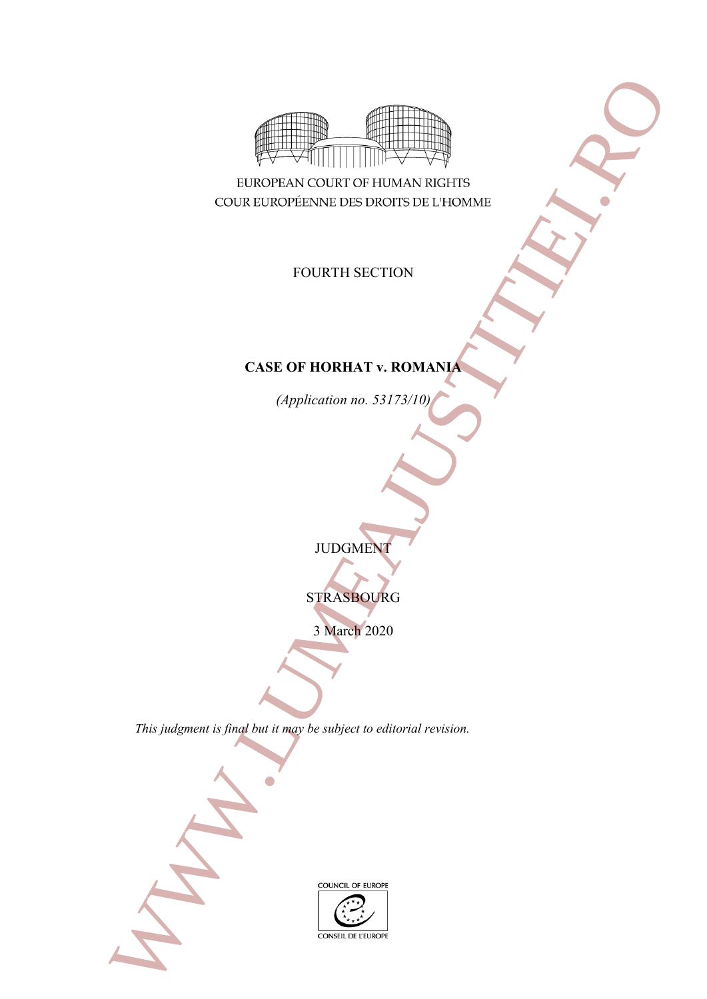

FOURTH SECTION

# **CASE OF HORHAT v. ROMANIA**

*(Application no. 53173/10)*

JUDGMENT

STRASBOURG

3 March 2020

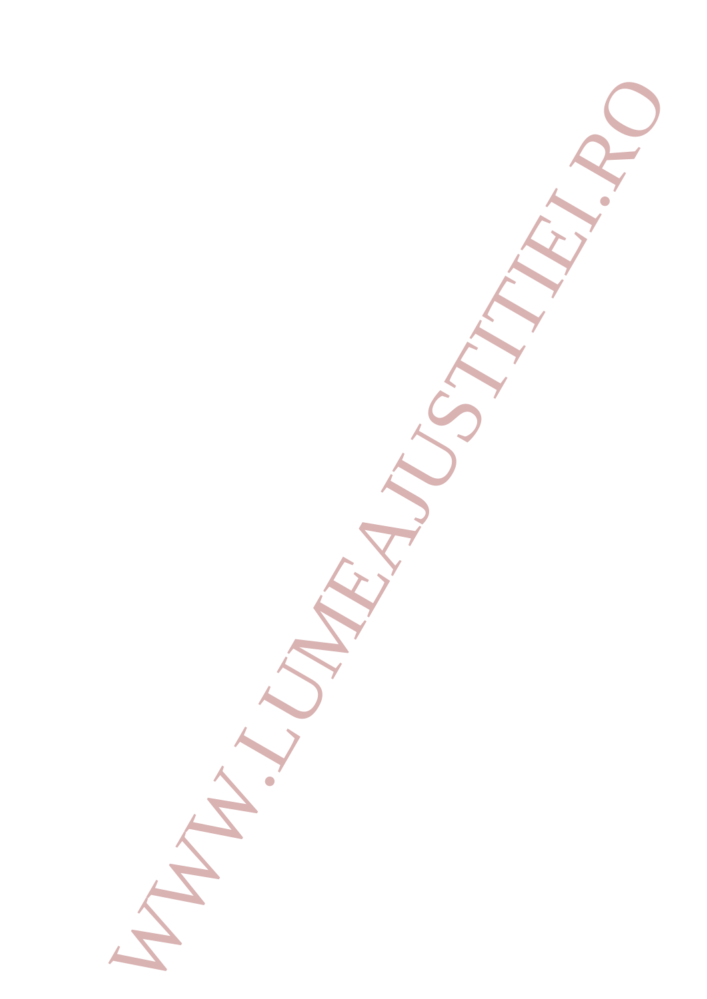W. LUMER RAND IN WALK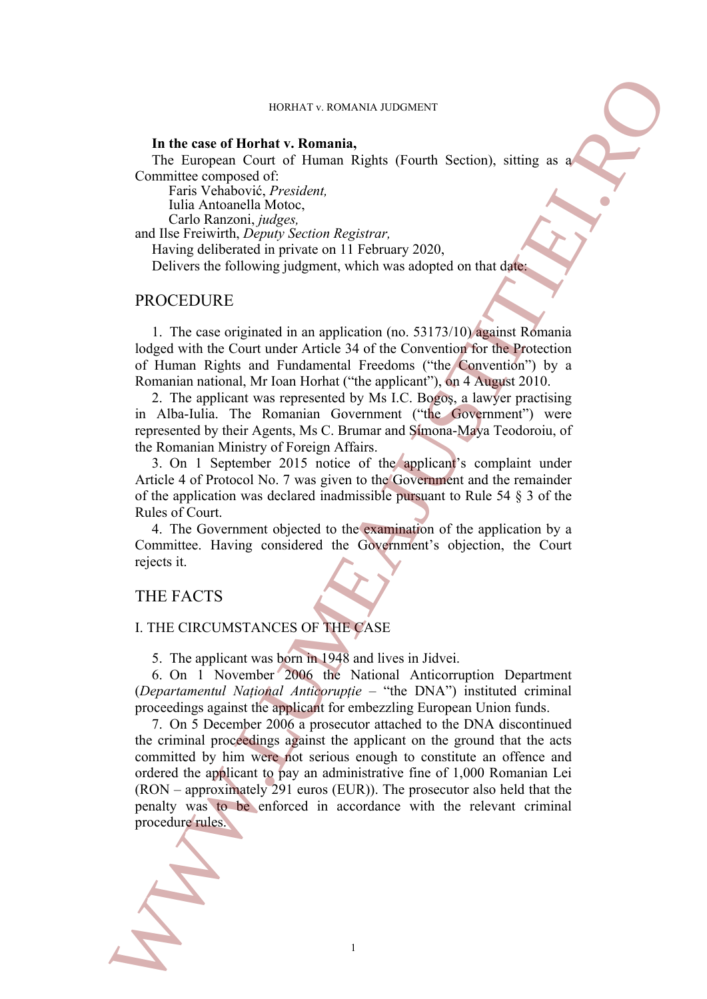#### **In the case of Horhat v. Romania,**

The European Court of Human Rights (Fourth Section), sitting as a Committee composed of:

Faris Vehabović, *President,* Iulia Antoanella Motoc,

Carlo Ranzoni, *judges,*

and Ilse Freiwirth, *Deputy Section Registrar,*

Having deliberated in private on 11 February 2020,

Delivers the following judgment, which was adopted on that date:

### PROCEDURE

1. The case originated in an application (no. 53173/10) against Romania lodged with the Court under Article 34 of the Convention for the Protection of Human Rights and Fundamental Freedoms ("the Convention") by a Romanian national, Mr Ioan Horhat ("the applicant"), on 4 August 2010.

2. The applicant was represented by Ms I.C. Bogoş, a lawyer practising in Alba-Iulia. The Romanian Government ("the Government") were represented by their Agents, Ms C. Brumar and Simona-Maya Teodoroiu, of the Romanian Ministry of Foreign Affairs.

3. On 1 September 2015 notice of the applicant's complaint under Article 4 of Protocol No. 7 was given to the Government and the remainder of the application was declared inadmissible pursuant to Rule 54 § 3 of the Rules of Court.

4. The Government objected to the examination of the application by a Committee. Having considered the Government's objection, the Court rejects it.

## THE FACTS

### I. THE CIRCUMSTANCES OF THE CASE

5. The applicant was born in 1948 and lives in Jidvei.

<span id="page-2-0"></span>6. On 1 November 2006 the National Anticorruption Department (*Departamentul Național Anticorupție* – "the DNA") instituted criminal proceedings against the applicant for embezzling European Union funds.

7. On 5 December 2006 a prosecutor attached to the DNA discontinued the criminal proceedings against the applicant on the ground that the acts committed by him were not serious enough to constitute an offence and ordered the applicant to pay an administrative fine of 1,000 Romanian Lei (RON – approximately 291 euros (EUR)). The prosecutor also held that the penalty was to be enforced in accordance with the relevant criminal 21022147 × 10244474 MOMPA Normania.<br>
1022147 × 10244474 MOMPA Normania.<br>
1. De Liverpois Columbine composed of<br>
1. Leady behidred of Human Rights (Fourth Section), stiming as a location<br>
1. Committee composed of Human Ri

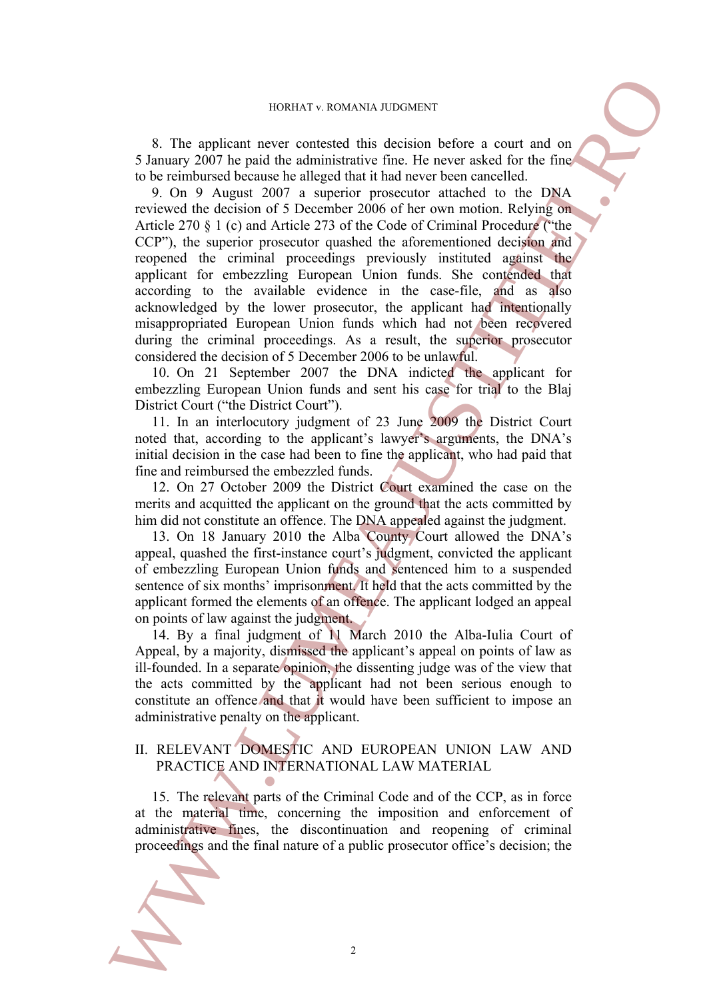<span id="page-3-3"></span><span id="page-3-0"></span>8. The applicant never contested this decision before a court and on 5 January 2007 he paid the administrative fine. He never asked for the fine to be reimbursed because he alleged that it had never been cancelled.

9. On 9 August 2007 a superior prosecutor attached to the DNA reviewed the decision of 5 December 2006 of her own motion. Relying on Article 270 § 1 (c) and Article 273 of the Code of Criminal Procedure ("the CCP"), the superior prosecutor quashed the aforementioned decision and reopened the criminal proceedings previously instituted against the applicant for embezzling European Union funds. She contended that according to the available evidence in the case-file, and as also acknowledged by the lower prosecutor, the applicant had intentionally misappropriated European Union funds which had not been recovered during the criminal proceedings. As a result, the superior prosecutor considered the decision of 5 December 2006 to be unlawful. 30, 132, 2001 and the minimal method of a public proceeding and the move and the final nature of a public proceeding and the final nature of a public proceeding a public proceeding of a public proceeding of a public 200

10. On 21 September 2007 the DNA indicted the applicant for embezzling European Union funds and sent his case for trial to the Blaj District Court ("the District Court").

11. In an interlocutory judgment of 23 June 2009 the District Court noted that, according to the applicant's lawyer's arguments, the DNA's initial decision in the case had been to fine the applicant, who had paid that fine and reimbursed the embezzled funds.

12. On 27 October 2009 the District Court examined the case on the merits and acquitted the applicant on the ground that the acts committed by him did not constitute an offence. The DNA appealed against the judgment.

13. On 18 January 2010 the Alba County Court allowed the DNA's appeal, quashed the first-instance court's judgment, convicted the applicant of embezzling European Union funds and sentenced him to a suspended sentence of six months' imprisonment. It held that the acts committed by the applicant formed the elements of an offence. The applicant lodged an appeal on points of law against the judgment.

<span id="page-3-2"></span>14. By a final judgment of 11 March 2010 the Alba-Iulia Court of Appeal, by a majority, dismissed the applicant's appeal on points of law as ill-founded. In a separate opinion, the dissenting judge was of the view that the acts committed by the applicant had not been serious enough to constitute an offence and that it would have been sufficient to impose an administrative penalty on the applicant.

## II. RELEVANT DOMESTIC AND EUROPEAN UNION LAW AND PRACTICE AND INTERNATIONAL LAW MATERIAL

<span id="page-3-1"></span>15. The relevant parts of the Criminal Code and of the CCP, as in force at the material time, concerning the imposition and enforcement of administrative fines, the discontinuation and reopening of criminal

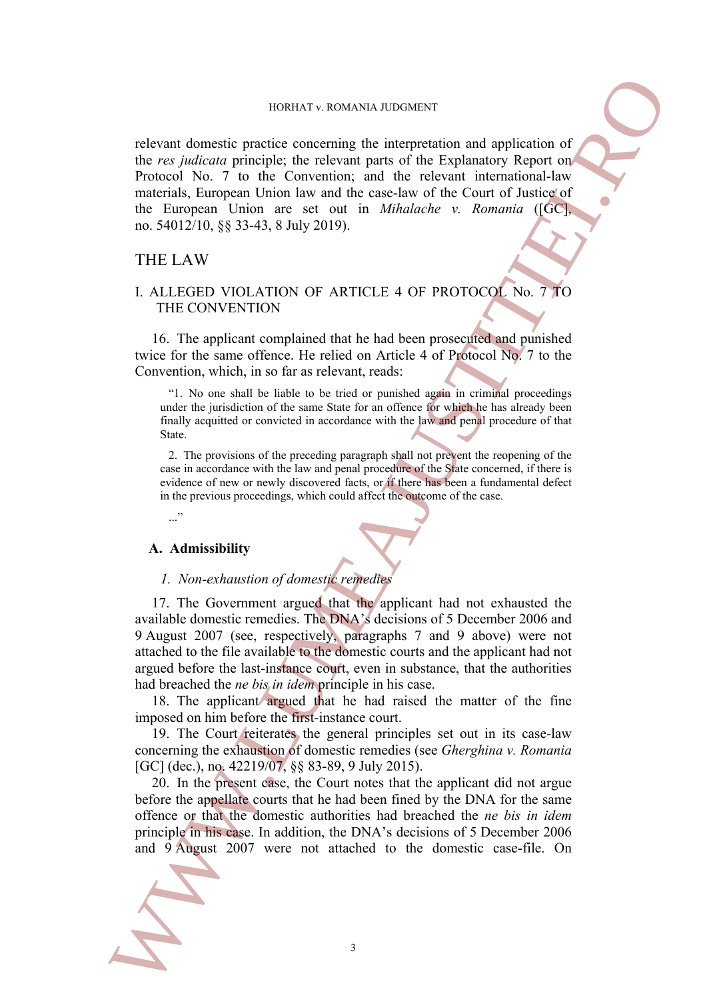relevant domestic practice concerning the interpretation and application of the *res judicata* principle; the relevant parts of the Explanatory Report on Protocol No. 7 to the Convention; and the relevant international-law materials, European Union law and the case-law of the Court of Justice of the European Union are set out in *Mihalache v. Romania* ([GC], no. 54012/10, §§ 33-43, 8 July 2019). and the method in the domestic content in the domestic case-file of the domestic case-file. The method in the domestic case-file. The domestic case-file of the domestic case-file of the domestic case-file. The domestic ca

### THE LAW

## I. ALLEGED VIOLATION OF ARTICLE 4 OF PROTOCOL No. 7 TO THE CONVENTION

16. The applicant complained that he had been prosecuted and punished twice for the same offence. He relied on Article 4 of Protocol No. 7 to the Convention, which, in so far as relevant, reads:

"1. No one shall be liable to be tried or punished again in criminal proceedings under the jurisdiction of the same State for an offence for which he has already been finally acquitted or convicted in accordance with the law and penal procedure of that State.

2. The provisions of the preceding paragraph shall not prevent the reopening of the case in accordance with the law and penal procedure of the State concerned, if there is evidence of new or newly discovered facts, or if there has been a fundamental defect in the previous proceedings, which could affect the outcome of the case.

#### **A. Admissibility**

 $\ddot{\phantom{0}}$ 

### *1. Non-exhaustion of domestic remedies*

17. The Government argued that the applicant had not exhausted the available domestic remedies. The DNA's decisions of 5 December 2006 and 9 August 2007 (see, respectively, paragraphs 7 and 9 above) were not attached to the file available to the domestic courts and the applicant had not argued before the last-instance court, even in substance, that the authorities had breached the *ne bis in idem* principle in his case.

18. The applicant argued that he had raised the matter of the fine imposed on him before the first-instance court.

19. The Court reiterates the general principles set out in its case-law concerning the exhaustion of domestic remedies (see *Gherghina v. Romania* [GC] (dec.), no. 42219/07, §§ 83-89, 9 July 2015).

20. In the present case, the Court notes that the applicant did not argue before the appellate courts that he had been fined by the DNA for the same offence or that the domestic authorities had breached the *ne bis in idem* principle in his case. In addition, the DNA's decisions of 5 December 2006

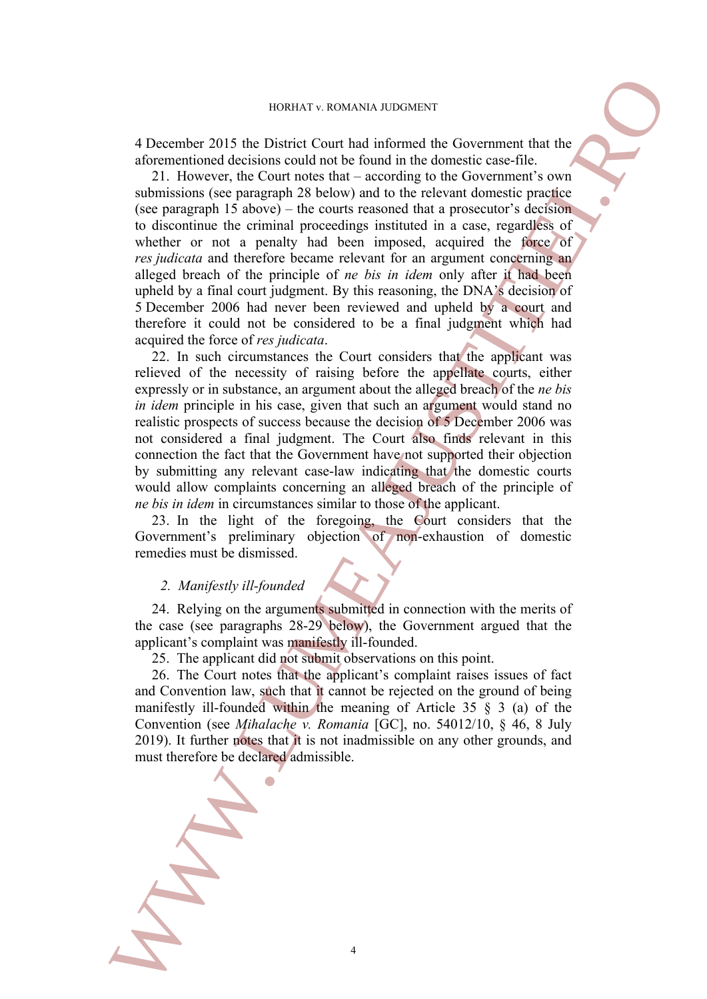4 December 2015 the District Court had informed the Government that the aforementioned decisions could not be found in the domestic case-file.

21. However, the Court notes that – according to the Government's own submissions (see paragraph 28 below) and to the relevant domestic practice (see paragraph 15 above) – the courts reasoned that a prosecutor's decision to discontinue the criminal proceedings instituted in a case, regardless of whether or not a penalty had been imposed, acquired the force of *res judicata* and therefore became relevant for an argument concerning an alleged breach of the principle of *ne bis in idem* only after it had been upheld by a final court judgment. By this reasoning, the DNA's decision of 5 December 2006 had never been reviewed and upheld by a court and therefore it could not be considered to be a final judgment which had acquired the force of *res judicata*. 2020147 x 10044474 [M](#page-6-0) ID[E](#page-6-1)NTIFY a TOWER ALTERCT CONTINUES TO CONTINUES THE CONTINUES TO CONTINUES THE CONTINUES TO CONTINUES TO CONTINUES TO CONTINUES TO CONTINUES TO CONTINUES TO CONTINUES TO CONTINUES TO CONTINUES TO CON

22. In such circumstances the Court considers that the applicant was relieved of the necessity of raising before the appellate courts, either expressly or in substance, an argument about the alleged breach of the *ne bis in idem* principle in his case, given that such an argument would stand no realistic prospects of success because the decision of 5 December 2006 was not considered a final judgment. The Court also finds relevant in this connection the fact that the Government have not supported their objection by submitting any relevant case-law indicating that the domestic courts would allow complaints concerning an alleged breach of the principle of *ne bis in idem* in circumstances similar to those of the applicant.

23. In the light of the foregoing, the Court considers that the Government's preliminary objection of non-exhaustion of domestic remedies must be dismissed.

### *2. Manifestly ill-founded*

24. Relying on the arguments submitted in connection with the merits of the case (see paragraphs 28-29 below), the Government argued that the applicant's complaint was manifestly ill-founded.

25. The applicant did not submit observations on this point.

26. The Court notes that the applicant's complaint raises issues of fact and Convention law, such that it cannot be rejected on the ground of being manifestly ill-founded within the meaning of Article 35 § 3 (a) of the Convention (see *Mihalache v. Romania* [GC], no. 54012/10, § 46, 8 July 2019). It further notes that it is not inadmissible on any other grounds, and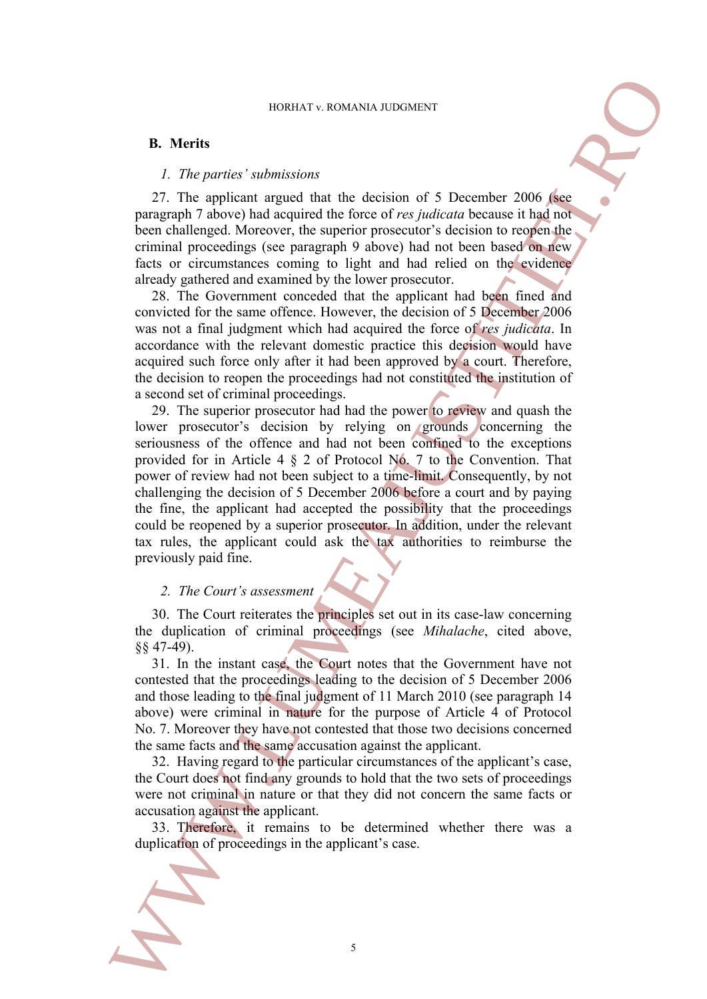## **B. Merits**

### *1. The parties' submissions*

27. The applicant argued that the decision of 5 December 2006 (see paragraph 7 above) had acquired the force of *res judicata* because it had not been challenged. Moreover, the superior prosecutor's decision to reopen the criminal proceedings (see paragraph 9 above) had not been based on new facts or circumstances coming to light and had relied on the evidence already gathered and examined by the lower prosecutor.

<span id="page-6-1"></span><span id="page-6-0"></span>28. The Government conceded that the applicant had been fined and convicted for the same offence. However, the decision of 5 December 2006 was not a final judgment which had acquired the force of *res judicata*. In accordance with the relevant domestic practice this decision would have acquired such force only after it had been approved by a court. Therefore, the decision to reopen the proceedings had not constituted the institution of a second set of criminal proceedings.

29. The superior prosecutor had had the power to review and quash the lower prosecutor's decision by relying on grounds concerning the seriousness of the offence and had not been confined to the exceptions provided for in Article 4  $\S$  2 of Protocol No. 7 to the Convention. That power of review had not been subject to a time-limit. Consequently, by not challenging the decision of 5 December 2006 before a court and by paying the fine, the applicant had accepted the possibility that the proceedings could be reopened by a superior prosecutor. In addition, under the relevant tax rules, the applicant could ask the tax authorities to reimburse the previously paid fine. B. Merits<br>
1. The parties' shownstons<br>
2. The parties' shownstons<br>
2. The parties' shownstons<br>
parametery absorption of the decision of 5 December 2006 (see<br>
parametery absorption of the applicant of the application becom

## *2. The Court's assessment*

30. The Court reiterates the principles set out in its case-law concerning the duplication of criminal proceedings (see *Mihalache*, cited above, §§ 47-49).

31. In the instant case, the Court notes that the Government have not contested that the proceedings leading to the decision of 5 December 2006 and those leading to the final judgment of 11 March 2010 (see paragraph 14 above) were criminal in nature for the purpose of Article 4 of Protocol No. 7. Moreover they have not contested that those two decisions concerned the same facts and the same accusation against the applicant.

32. Having regard to the particular circumstances of the applicant's case, the Court does not find any grounds to hold that the two sets of proceedings were not criminal in nature or that they did not concern the same facts or accusation against the applicant.

33. Therefore, it remains to be determined whether there was a

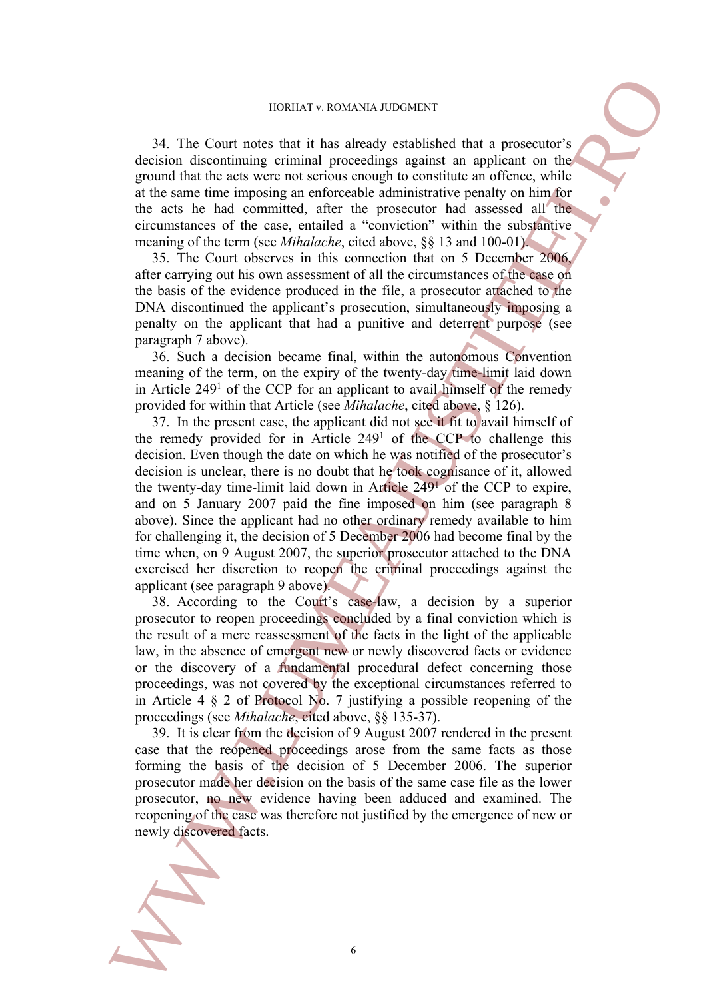34. The Court notes that it has already established that a prosecutor's decision discontinuing criminal proceedings against an applicant on the ground that the acts were not serious enough to constitute an offence, while at the same time imposing an enforceable administrative penalty on him for the acts he had committed, after the prosecutor had assessed all the circumstances of the case, entailed a "conviction" within the substantive meaning of the term (see *Mihalache*, cited above, §§ 13 and 100-01).

35. The Court observes in this connection that on 5 December 2006, after carrying out his own assessment of all the circumstances of the case on the basis of the evidence produced in the file, a prosecutor attached to the DNA discontinued the applicant's prosecution, simultaneously imposing a penalty on the applicant that had a punitive and deterrent purpose (see paragraph 7 above).

36. Such a decision became final, within the autonomous Convention meaning of the term, on the expiry of the twenty-day time-limit laid down in Article 249<sup>1</sup> of the CCP for an applicant to avail himself of the remedy provided for within that Article (see *Mihalache*, cited above, § 126).

37. In the present case, the applicant did not see it fit to avail himself of the remedy provided for in Article 249<sup>1</sup> of the CCP to challenge this decision. Even though the date on which he was notified of the prosecutor's decision is unclear, there is no doubt that he took cognisance of it, allowed the twenty-day time-limit laid down in Article 249<sup>1</sup> of the CCP to expire, and on 5 January 2007 paid the fine imposed on him (see paragraph 8 above). Since the applicant had no other ordinary remedy available to him for challenging it, the decision of 5 December 2006 had become final by the time when, on 9 August 2007, the superior prosecutor attached to the DNA exercised her discretion to reopen the criminal proceedings against the applicant (see paragraph 9 above). 2020 147 x 10x14 x 10x14 x 10x14 x 10x14 x 10x14 x 10x14 x 10x14 x 10x14 x 10x14 x 10x14 x 10x14 x 10x14 x 10x14 c good specified that a proceeding specified to the momentum content in the series of the series of the ser

38. According to the Court's case-law, a decision by a superior prosecutor to reopen proceedings concluded by a final conviction which is the result of a mere reassessment of the facts in the light of the applicable law, in the absence of emergent new or newly discovered facts or evidence or the discovery of a fundamental procedural defect concerning those proceedings, was not covered by the exceptional circumstances referred to in Article 4  $\S$  2 of Protocol No. 7 justifying a possible reopening of the proceedings (see *Mihalache*, cited above, §§ 135-37).

39. It is clear from the decision of 9 August 2007 rendered in the present case that the reopened proceedings arose from the same facts as those forming the basis of the decision of 5 December 2006. The superior prosecutor made her decision on the basis of the same case file as the lower prosecutor, no new evidence having been adduced and examined. The reopening of the case was therefore not justified by the emergence of new or

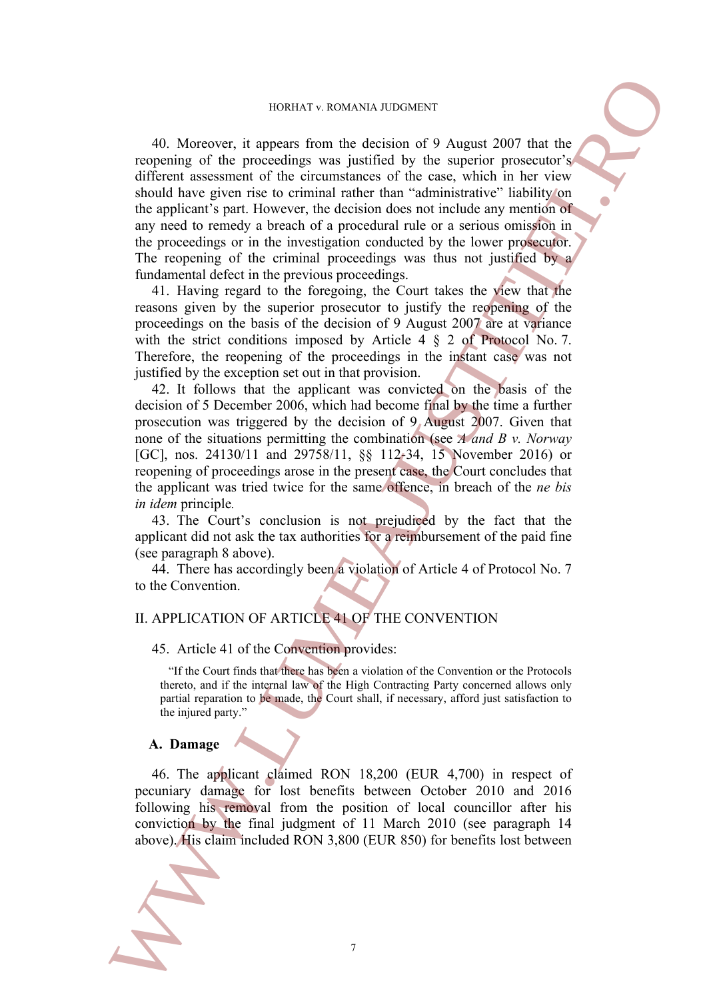40. Moreover, it appears from the decision of 9 August 2007 that the reopening of the proceedings was justified by the superior prosecutor's different assessment of the circumstances of the case, which in her view should have given rise to criminal rather than "administrative" liability on the applicant's part. However, the decision does not include any mention of any need to remedy a breach of a procedural rule or a serious omission in the proceedings or in the investigation conducted by the lower prosecutor. The reopening of the criminal proceedings was thus not justified by a fundamental defect in the previous proceedings. above). However, is appeared to the selection of 9 August 2007 that the properties of the procedure was useful to the selection of the control of the selection of the selection of the selection of the selection of the sel

41. Having regard to the foregoing, the Court takes the view that the reasons given by the superior prosecutor to justify the reopening of the proceedings on the basis of the decision of 9 August 2007 are at variance with the strict conditions imposed by Article 4 § 2 of Protocol No. 7. Therefore, the reopening of the proceedings in the instant case was not justified by the exception set out in that provision.

42. It follows that the applicant was convicted on the basis of the decision of 5 December 2006, which had become final by the time a further prosecution was triggered by the decision of 9 August 2007. Given that none of the situations permitting the combination (see *A and B v. Norway* [GC], nos. 24130/11 and 29758/11, §§ 112-34, 15 November 2016) or reopening of proceedings arose in the present case, the Court concludes that the applicant was tried twice for the same offence, in breach of the *ne bis in idem* principle*.*

43. The Court's conclusion is not prejudiced by the fact that the applicant did not ask the tax authorities for a reimbursement of the paid fine (see paragraph 8 above).

44. There has accordingly been a violation of Article 4 of Protocol No. 7 to the Convention.

## II. APPLICATION OF ARTICLE 41 OF THE CONVENTION

#### 45. Article 41 of the Convention provides:

"If the Court finds that there has been a violation of the Convention or the Protocols thereto, and if the internal law of the High Contracting Party concerned allows only partial reparation to be made, the Court shall, if necessary, afford just satisfaction to the injured party."

#### **A. Damage**

46. The applicant claimed RON 18,200 (EUR 4,700) in respect of pecuniary damage for lost benefits between October 2010 and 2016 following his removal from the position of local councillor after his conviction by the final judgment of 11 March 2010 (see paragraph 14

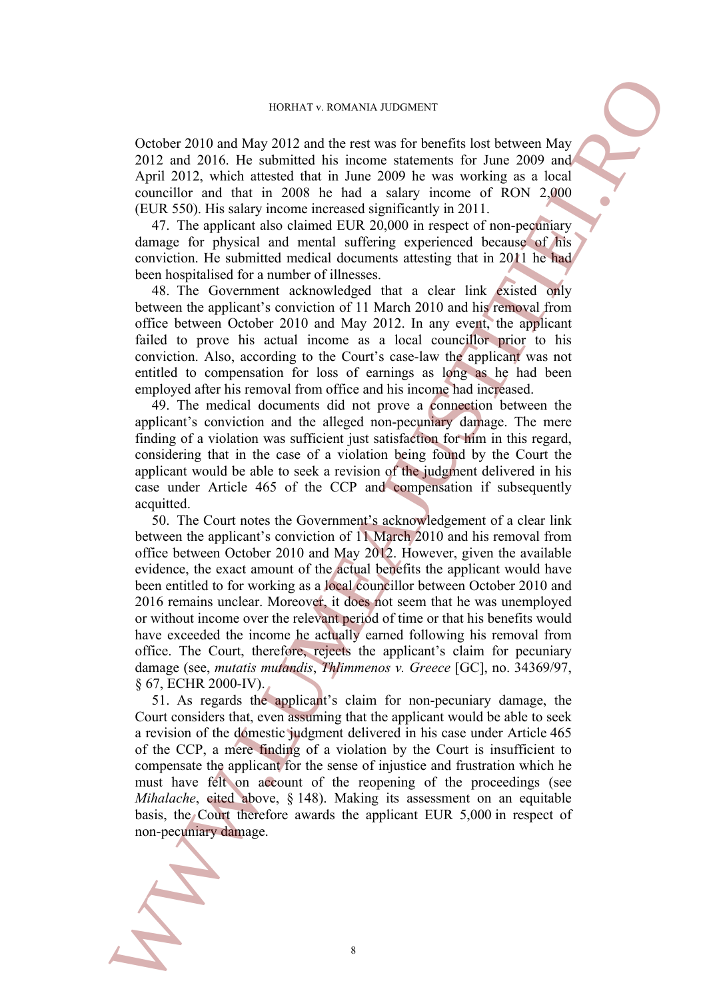October 2010 and May 2012 and the rest was for benefits lost between May 2012 and 2016. He submitted his income statements for June 2009 and April 2012, which attested that in June 2009 he was working as a local councillor and that in 2008 he had a salary income of RON 2,000 (EUR 550). His salary income increased significantly in 2011.

47. The applicant also claimed EUR 20,000 in respect of non-pecuniary damage for physical and mental suffering experienced because of his conviction. He submitted medical documents attesting that in 2011 he had been hospitalised for a number of illnesses.

48. The Government acknowledged that a clear link existed only between the applicant's conviction of 11 March 2010 and his removal from office between October 2010 and May 2012. In any event, the applicant failed to prove his actual income as a local councillor prior to his conviction. Also, according to the Court's case-law the applicant was not entitled to compensation for loss of earnings as long as he had been employed after his removal from office and his income had increased.

49. The medical documents did not prove a connection between the applicant's conviction and the alleged non-pecuniary damage. The mere finding of a violation was sufficient just satisfaction for him in this regard, considering that in the case of a violation being found by the Court the applicant would be able to seek a revision of the judgment delivered in his case under Article 465 of the CCP and compensation if subsequently acquitted.

50. The Court notes the Government's acknowledgement of a clear link between the applicant's conviction of 11 March 2010 and his removal from office between October 2010 and May 2012. However, given the available evidence, the exact amount of the actual benefits the applicant would have been entitled to for working as a local councillor between October 2010 and 2016 remains unclear. Moreover, it does not seem that he was unemployed or without income over the relevant period of time or that his benefits would have exceeded the income he actually earned following his removal from office. The Court, therefore, rejects the applicant's claim for pecuniary damage (see, *mutatis mutandis*, *Thlimmenos v. Greece* [GC], no. 34369/97, § 67, ECHR 2000-IV). 1932/147 × 1930/147 × 1930/147 × 1930/147 × 1930/147 × 1930/147 × 1930/147 × 1930/147 × 1930/14 × 2012 × 2022 × 2022 × 2022 × 2022 × 2022 × 2022 × 2022 × 2022 × 2022 × 2022 × 2022 × 2022 × 2022 × 2022 × 2022 × 2022 × 202

51. As regards the applicant's claim for non-pecuniary damage, the Court considers that, even assuming that the applicant would be able to seek a revision of the domestic judgment delivered in his case under Article 465 of the CCP, a mere finding of a violation by the Court is insufficient to compensate the applicant for the sense of injustice and frustration which he must have felt on account of the reopening of the proceedings (see *Mihalache*, cited above, § 148). Making its assessment on an equitable basis, the Court therefore awards the applicant EUR 5,000 in respect of

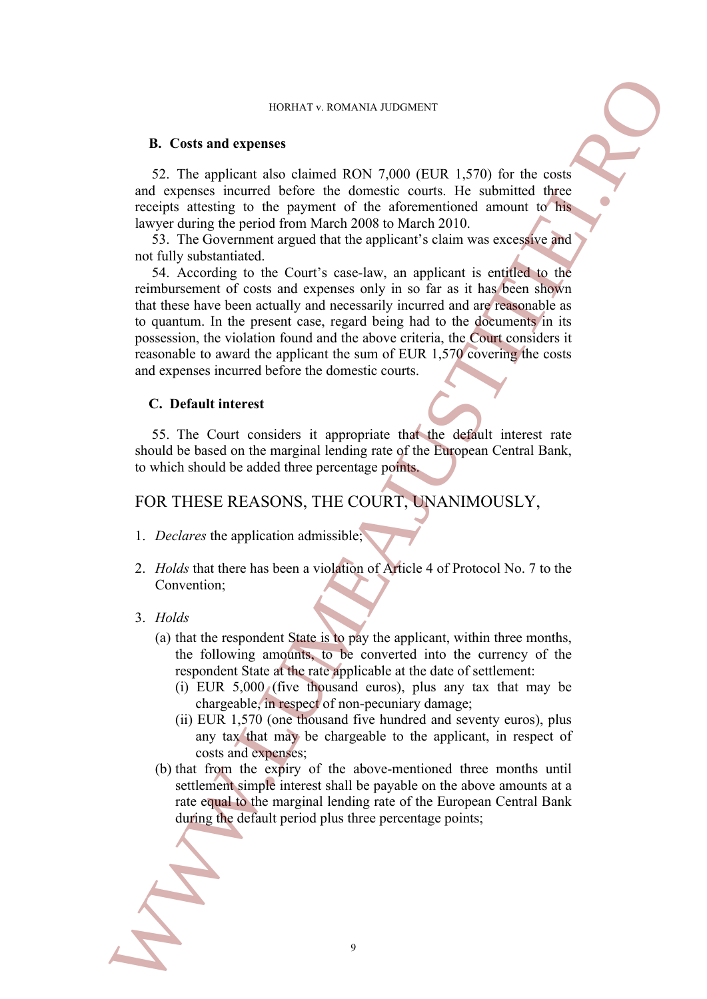## **B. Costs and expenses**

52. The applicant also claimed RON 7,000 (EUR 1,570) for the costs and expenses incurred before the domestic courts. He submitted three receipts attesting to the payment of the aforementioned amount to his lawyer during the period from March 2008 to March 2010.

53. The Government argued that the applicant's claim was excessive and not fully substantiated.

54. According to the Court's case-law, an applicant is entitled to the reimbursement of costs and expenses only in so far as it has been shown that these have been actually and necessarily incurred and are reasonable as to quantum. In the present case, regard being had to the documents in its possession, the violation found and the above criteria, the Court considers it reasonable to award the applicant the sum of EUR 1,570 covering the costs and expenses incurred before the domestic courts. **BORMATA ROWER CONTIFICITS** (2) The applicant period plus three period plus three period plus three period plus three period plus three percentage points; We are the definite of the state of the state of the state of the

## **C. Default interest**

55. The Court considers it appropriate that the default interest rate should be based on the marginal lending rate of the European Central Bank, to which should be added three percentage points.

# FOR THESE REASONS, THE COURT, UNANIMOUSLY,

- 1. *Declares* the application admissible;
- 2. *Holds* that there has been a violation of Article 4 of Protocol No. 7 to the Convention;
- 3. *Holds*
	- (a) that the respondent State is to pay the applicant, within three months, the following amounts, to be converted into the currency of the respondent State at the rate applicable at the date of settlement:
		- (i) EUR 5,000 (five thousand euros), plus any tax that may be chargeable, in respect of non-pecuniary damage;
		- (ii) EUR 1,570 (one thousand five hundred and seventy euros), plus any tax that may be chargeable to the applicant, in respect of costs and expenses;
	- (b) that from the expiry of the above-mentioned three months until settlement simple interest shall be payable on the above amounts at a rate equal to the marginal lending rate of the European Central Bank